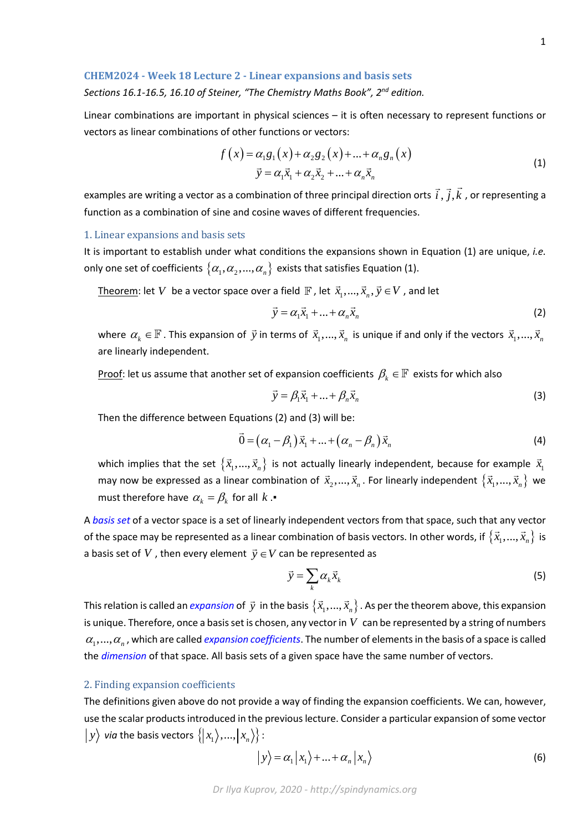### **CHEM2024 - Week 18 Lecture 2 - Linear expansions and basis sets**

# *Sections 16.1-16.5, 16.10 of Steiner, "The Chemistry Maths Book", 2nd edition.*

Linear combinations are important in physical sciences – it is often necessary to represent functions or vectors as linear combinations of other functions or vectors:

$$
f(x) = \alpha_1 g_1(x) + \alpha_2 g_2(x) + ... + \alpha_n g_n(x)
$$
  
\n
$$
\vec{y} = \alpha_1 \vec{x}_1 + \alpha_2 \vec{x}_2 + ... + \alpha_n \vec{x}_n
$$
\n(1)

examples are writing a vector as a combination of three principal direction orts  $\,i$  ,  $j$  ,  $k$  $\vec{r}$   $\vec{r}$ , or representing a function as a combination of sine and cosine waves of different frequencies.

#### 1. Linear expansions and basis sets

It is important to establish under what conditions the expansions shown in Equation (1) are unique, *i.e.* only one set of coefficients  $\{\alpha_1, \alpha_2, ..., \alpha_n\}$  exists that satisfies Equation (1).

Theorem: let *V* be a vector space over a field  $\mathbb{F}$ , let  $\vec{x}_1, ..., \vec{x}_n, \vec{y} \in V$ , and let

$$
\vec{y} = \alpha_1 \vec{x}_1 + \dots + \alpha_n \vec{x}_n \tag{2}
$$

where  $\alpha_k \in \mathbb{F}$  . This expansion of  $\vec{y}$  in terms of  $\vec{x}_1,...,\vec{x}_n$  is unique if and only if the vectors  $\vec{x}_1,...,\vec{x}_n$ are linearly independent.

Proof: let us assume that another set of expansion coefficients  $\beta_k \in \mathbb{F}$  exists for which also

$$
\vec{y} = \beta_1 \vec{x}_1 + \dots + \beta_n \vec{x}_n \tag{3}
$$

Then the difference between Equations (2) and (3) will be:

$$
\vec{0} = (\alpha_1 - \beta_1)\vec{x}_1 + \dots + (\alpha_n - \beta_n)\vec{x}_n
$$
\n(4)

which implies that the set  $\left\{\vec{x}_{1},...,\vec{x}_{n}\right\}$  is not actually linearly independent, because for example  $\vec{x}_{1}$ may now be expressed as a linear combination of  $\vec{x}_2, ..., \vec{x}_n$ . For linearly independent  $\{\vec{x}_1, ..., \vec{x}_n\}$  we must therefore have  $\alpha_k = \beta_k$  for all  $k$ .

A *basis set* of a vector space is a set of linearly independent vectors from that space, such that any vector of the space may be represented as a linear combination of basis vectors. In other words, if  $\{\vec{x}_1,...,\vec{x}_n\}$  is a basis set of  $V$  , then every element  $\vec{y} \in V$  can be represented as

$$
\vec{y} = \sum_{k} \alpha_{k} \vec{x}_{k} \tag{5}
$$

This relation is called an *expansion* of  $\vec{y}$  in the basis  $\{\vec{x}_1,...,\vec{x}_n\}$  . As per the theorem above, this expansion is unique. Therefore, once a basis set is chosen, any vector in  $V$  can be represented by a string of numbers  $\alpha_1,...,\alpha_n$ , which are called *expansion coefficients*. The number of elements in the basis of a space is called the *dimension* of that space. All basis sets of a given space have the same number of vectors.

### 2. Finding expansion coefficients

The definitions given above do not provide a way of finding the expansion coefficients. We can, however, use the scalar products introduced in the previous lecture. Consider a particular expansion of some vector  $|y\rangle$  *via* the basis vectors  $\{|x_1\rangle, ..., |x_n\rangle\}$ :

$$
|y\rangle = \alpha_1 |x_1\rangle + ... + \alpha_n |x_n\rangle
$$
 (6)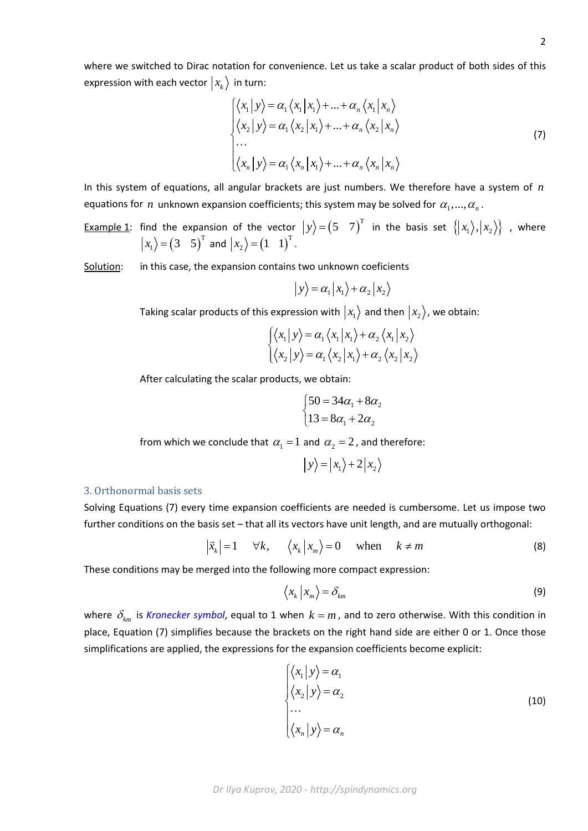where we switched to Dirac notation for convenience. Let us take a scalar product of both sides of this expression with each vector  $|x_k\rangle$  in turn:

$$
\begin{cases}\n\langle x_1 | y \rangle = \alpha_1 \langle x_1 | x_1 \rangle + ... + \alpha_n \langle x_1 | x_n \rangle \\
\langle x_2 | y \rangle = \alpha_1 \langle x_2 | x_1 \rangle + ... + \alpha_n \langle x_2 | x_n \rangle \\
... \\
\langle x_n | y \rangle = \alpha_1 \langle x_n | x_1 \rangle + ... + \alpha_n \langle x_n | x_n \rangle\n\end{cases}
$$
\n(7)

In this system of equations, all angular brackets are just numbers. We therefore have a system of *n* equations for *n* unknown expansion coefficients; this system may be solved for  $\alpha_1, \dots, \alpha_n$ .

<u>Example 1</u>: find the expansion of the vector  $|y\rangle = (5 \quad 7)^T$  in the basis set  $\{|x_1\rangle, |x_2\rangle\}$  , where  $\langle x_1 \rangle = (3 \quad 5)^T$  and  $\langle x_2 \rangle = (1 \quad 1)^T$ .

Solution: in this case, the expansion contains two unknown coeficients

$$
|y\rangle = \alpha_1 |x_1\rangle + \alpha_2 |x_2\rangle
$$

Taking scalar products of this expression with  $|x_1\rangle$  and then  $|x_2\rangle$ , we obtain:

$$
\begin{cases} \langle x_1 | y \rangle = \alpha_1 \langle x_1 | x_1 \rangle + \alpha_2 \langle x_1 | x_2 \rangle \\ \langle x_2 | y \rangle = \alpha_1 \langle x_2 | x_1 \rangle + \alpha_2 \langle x_2 | x_2 \rangle \end{cases}
$$

After calculating the scalar products, we obtain:

$$
\begin{cases}\n50 = 34\alpha_1 + 8\alpha_2 \\
13 = 8\alpha_1 + 2\alpha_2\n\end{cases}
$$

from which we conclude that  $\alpha_1 = 1$  and  $\alpha_2 = 2$ , and therefore:

$$
|y\rangle = |x_1\rangle + 2|x_2\rangle
$$

## 3. Orthonormal basis sets

Solving Equations (7) every time expansion coefficients are needed is cumbersome. Let us impose two further conditions on the basis set – that all its vectors have unit length, and are mutually orthogonal:

$$
|\vec{x}_k|=1 \quad \forall k, \quad \langle x_k | x_m \rangle = 0 \quad \text{when} \quad k \neq m
$$
 (8)

These conditions may be merged into the following more compact expression:

$$
\left\langle x_k \, \middle| \, x_m \right\rangle = \delta_{km} \tag{9}
$$

where  $\delta_{km}$  is *Kronecker symbol*, equal to 1 when  $k = m$ , and to zero otherwise. With this condition in place, Equation (7) simplifies because the brackets on the right hand side are either 0 or 1. Once those simplifications are applied, the expressions for the expansion coefficients become explicit:

$$
\begin{cases} \langle x_1 | y \rangle = \alpha_1 \\ \langle x_2 | y \rangle = \alpha_2 \\ \dots \\ \langle x_n | y \rangle = \alpha_n \end{cases}
$$
 (10)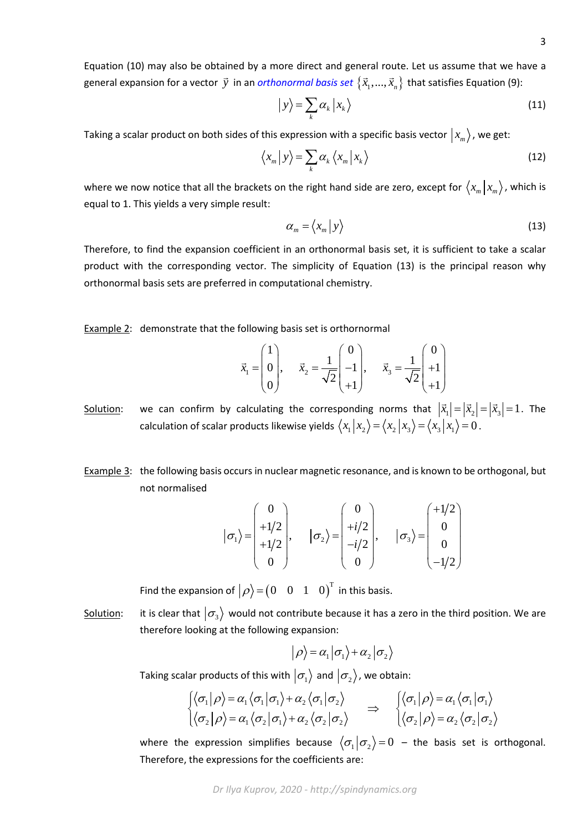Equation (10) may also be obtained by a more direct and general route. Let us assume that we have a general expansion for a vector  $\vec{y}$  in an *orthonormal basis set*  $\{\vec{x}_1, ..., \vec{x}_n\}$  that satisfies Equation (9):

$$
|y\rangle = \sum_{k} \alpha_{k} |x_{k}\rangle
$$
 (11)

Taking a scalar product on both sides of this expression with a specific basis vector  $|x_m\rangle$ , we get:

$$
\left\langle x_{m} \, | \, y \right\rangle = \sum_{k} \alpha_{k} \left\langle x_{m} \, | \, x_{k} \right\rangle \tag{12}
$$

where we now notice that all the brackets on the right hand side are zero, except for  $\langle x_m | x_m \rangle$ , which is equal to 1. This yields a very simple result:

$$
\alpha_m = \langle x_m | y \rangle \tag{13}
$$

Therefore, to find the expansion coefficient in an orthonormal basis set, it is sufficient to take a scalar product with the corresponding vector. The simplicity of Equation (13) is the principal reason why orthonormal basis sets are preferred in computational chemistry.

Example 2: demonstrate that the following basis set is orthornormal

$$
\vec{x}_1 = \begin{pmatrix} 1 \\ 0 \\ 0 \end{pmatrix}, \quad \vec{x}_2 = \frac{1}{\sqrt{2}} \begin{pmatrix} 0 \\ -1 \\ +1 \end{pmatrix}, \quad \vec{x}_3 = \frac{1}{\sqrt{2}} \begin{pmatrix} 0 \\ +1 \\ +1 \end{pmatrix}
$$

- Solution: we can confirm by calculating the corresponding norms that  $|\vec{x}_1| = |\vec{x}_2| = |\vec{x}_3| = 1$ . The calculation of scalar products likewise yields  $\langle x_1 | x_2 \rangle = \langle x_2 | x_3 \rangle = \langle x_3 | x_1 \rangle = 0$ .
- Example 3: the following basis occurs in nuclear magnetic resonance, and is known to be orthogonal, but not normalised

$$
|\sigma_1\rangle = \begin{pmatrix} 0 \\ +1/2 \\ +1/2 \\ 0 \end{pmatrix}, \qquad |\sigma_2\rangle = \begin{pmatrix} 0 \\ +i/2 \\ -i/2 \\ 0 \end{pmatrix}, \qquad |\sigma_3\rangle = \begin{pmatrix} +1/2 \\ 0 \\ 0 \\ -1/2 \end{pmatrix}
$$

Find the expansion of  $\big|\rho\big>=\begin{pmatrix}0&0&1&0\end{pmatrix}^{\mathrm{T}}$  in this basis.

Solution: it is clear that  $\ket{\sigma_3}$  would not contribute because it has a zero in the third position. We are therefore looking at the following expansion:

$$
|\rho\rangle = \alpha_1 |\sigma_1\rangle + \alpha_2 |\sigma_2\rangle
$$

Taking scalar products of this with  $|\sigma_1\rangle$  and  $|\sigma_2\rangle$ , we obtain:

$$
\begin{aligned}\n\left\{\langle \sigma_1 | \rho \rangle = \alpha_1 \langle \sigma_1 | \sigma_1 \rangle + \alpha_2 \langle \sigma_1 | \sigma_2 \rangle \\
\left\langle \sigma_2 | \rho \rangle = \alpha_1 \langle \sigma_2 | \sigma_1 \rangle + \alpha_2 \langle \sigma_2 | \sigma_2 \rangle\n\end{aligned}\right\} \Rightarrow \begin{aligned}\n\left\{\langle \sigma_1 | \rho \rangle = \alpha_1 \langle \sigma_1 | \sigma_1 \rangle \\
\left\langle \sigma_2 | \rho \rangle = \alpha_2 \langle \sigma_2 | \sigma_2 \rangle\n\end{aligned}
$$

where the expression simplifies because  $\langle \sigma_1 | \sigma_2 \rangle = 0$  – the basis set is orthogonal. Therefore, the expressions for the coefficients are: